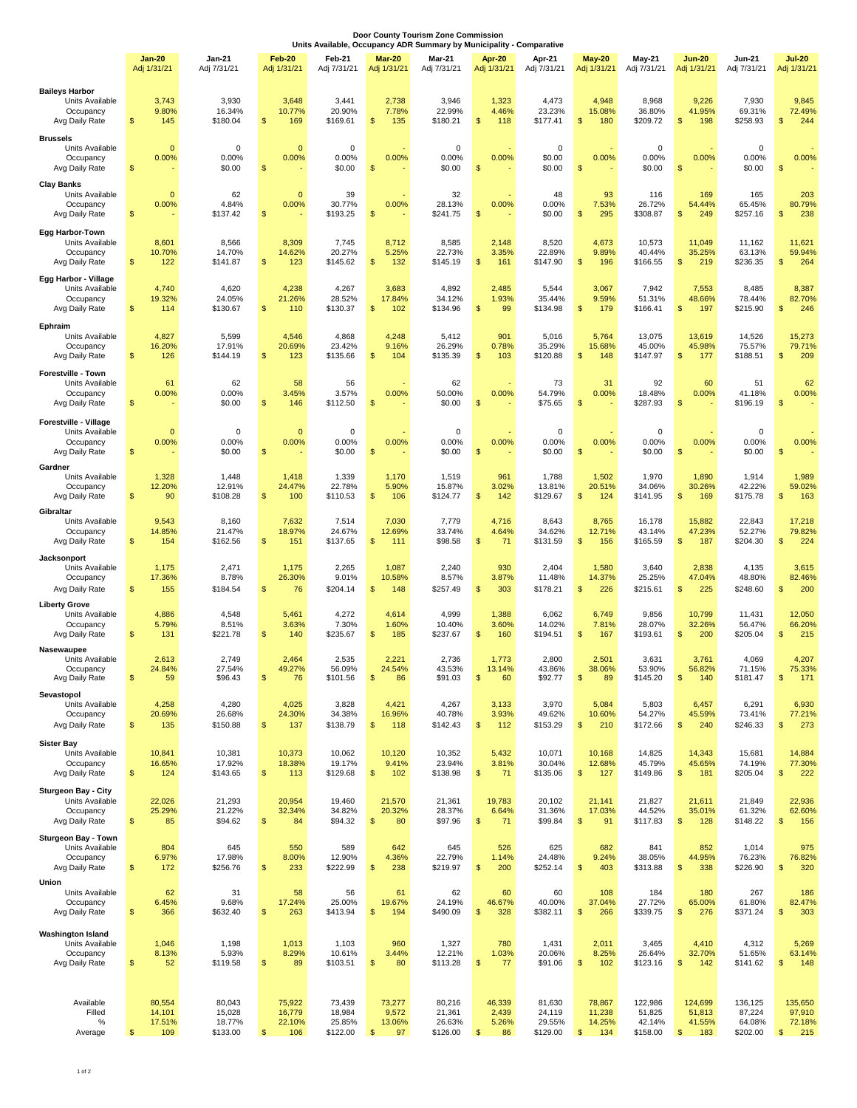| Door County Tourism Zone Commission<br>Units Available, Occupancy ADR Summary by Municipality - Comparative |                                          |                                        |                                   |                                        |                                          |                                        |                                |                                        |                                   |                                         |                                           |                                         |                                                      |
|-------------------------------------------------------------------------------------------------------------|------------------------------------------|----------------------------------------|-----------------------------------|----------------------------------------|------------------------------------------|----------------------------------------|--------------------------------|----------------------------------------|-----------------------------------|-----------------------------------------|-------------------------------------------|-----------------------------------------|------------------------------------------------------|
|                                                                                                             | Jan-20<br>Adj 1/31/21                    | Jan-21<br>Adj 7/31/21                  | <b>Feb-20</b><br>Adj 1/31/21      | Feb-21<br>Adj 7/31/21                  | <b>Mar-20</b><br>Adj 1/31/21             | <b>Mar-21</b><br>Adj 7/31/21           | Apr-20<br>Adj 1/31/21          | Apr-21<br>Adj 7/31/21                  | $May-20$<br>Adj 1/31/21           | $May-21$<br>Adj 7/31/21                 | <b>Jun-20</b><br>Adj 1/31/21              | <b>Jun-21</b><br>Adj 7/31/21            | <b>Jul-20</b><br>Adj 1/31/21                         |
| <b>Baileys Harbor</b><br>Units Available<br>Occupancy<br>Avg Daily Rate                                     | 3,743<br>9.80%<br>S<br>145               | 3,930<br>16.34%<br>\$180.04            | 3,648<br>10.77%<br>\$<br>169      | 3,441<br>20.90%<br>\$169.61            | 2,738<br>7.78%<br>$\mathbb{S}$<br>135    | 3,946<br>22.99%<br>\$180.21            | 1,323<br>4.46%<br>\$<br>118    | 4,473<br>23.23%<br>\$177.41            | 4,948<br>15.08%<br>180<br>\$      | 8,968<br>36.80%<br>\$209.72             | 9,226<br>41.95%<br>$\mathfrak{s}$<br>198  | 7,930<br>69.31%<br>\$258.93             | 9,845<br>72.49%<br>244<br>\$                         |
| <b>Brussels</b><br>Units Available<br>Occupancy<br>Avg Daily Rate                                           | 0.00%<br>\$                              | $\mathbf 0$<br>0<br>0.00%<br>\$0.00    | $\mathbf 0$<br>0.00%<br>\$        | 0<br>0.00%<br>\$0.00                   | 0.00%<br>\$                              | 0<br>0.00%<br>\$0.00                   | 0.00%<br>\$                    | $\mathbf 0$<br>\$0.00<br>\$0.00        | 0.00%<br>\$                       | $\mathbf 0$<br>0.00%<br>\$0.00          | 0.00%<br>\$                               | $\mathsf 0$<br>0.00%<br>\$0.00          | 0.00%<br>\$                                          |
| <b>Clay Banks</b><br>Units Available<br>Occupancy<br>Avg Daily Rate                                         | 0.00%<br>$\sqrt{3}$                      | 62<br>$\mathbf 0$<br>4.84%<br>\$137.42 | $\mathbf 0$<br>0.00%<br>\$        | 39<br>30.77%<br>\$193.25               | 0.00%<br>\$                              | 32<br>28.13%<br>\$241.75               | 0.00%<br>\$                    | 48<br>0.00%<br>\$0.00                  | 93<br>7.53%<br>295<br>\$          | 116<br>26.72%<br>\$308.87               | 169<br>54.44%<br>\$<br>249                | 165<br>65.45%<br>\$257.16               | 203<br>80.79%<br>238<br>\$                           |
| Egg Harbor-Town<br>Units Available<br>Occupancy<br>Avg Daily Rate                                           | 8,601<br>10.70%<br>\$<br>122             | 8,566<br>14.70%<br>\$141.87            | 8,309<br>14.62%<br>\$<br>123      | 7,745<br>20.27%<br>\$145.62            | 8,712<br>5.25%<br>$\frac{1}{2}$<br>132   | 8,585<br>22.73%<br>\$145.19            | 2,148<br>3.35%<br>\$<br>161    | 8,520<br>22.89%<br>\$147.90            | 4,673<br>9.89%<br>\$<br>196       | 10,573<br>40.44%<br>\$166.55            | 11,049<br>35.25%<br>$\mathfrak{s}$<br>219 | 11,162<br>63.13%<br>\$236.35            | 11,621<br>59.94%<br>264<br>\$                        |
| Egg Harbor - Village<br>Units Available<br>Occupancy<br>Avg Daily Rate                                      | 4,740<br>19.32%<br>\$<br>114             | 4,620<br>24.05%<br>\$130.67            | 4,238<br>21.26%<br>S<br>110       | 4,267<br>28.52%<br>\$130.37            | 3,683<br>17.84%<br>\$<br>102             | 4,892<br>34.12%<br>\$134.96            | 2,485<br>1.93%<br>\$<br>99     | 5,544<br>35.44%<br>\$134.98            | 3,067<br>9.59%<br>\$<br>179       | 7,942<br>51.31%<br>\$166.41             | 7,553<br>48.66%<br>\$<br>197              | 8,485<br>78.44%<br>\$215.90             | 8,387<br>82.70%<br>\$<br>246                         |
| Ephraim<br>Units Available<br>Occupancy<br>Avg Daily Rate                                                   | 4,827<br>16.20%<br>\$<br>126             | 5,599<br>17.91%<br>\$144.19            | 4,546<br>20.69%<br>\$<br>123      | 4,868<br>23.42%<br>\$135.66            | 4,248<br>9.16%<br>$\mathbb{S}$<br>104    | 5,412<br>26.29%<br>\$135.39            | 901<br>0.78%<br>\$<br>103      | 5,016<br>35.29%<br>\$120.88            | 5,764<br>15.68%<br>148<br>\$      | 13,075<br>45.00%<br>\$147.97            | 13,619<br>45.98%<br>$\mathbb{S}$<br>177   | 14,526<br>75.57%<br>\$188.51            | 15,273<br>79.71%<br>209<br>\$                        |
| <b>Forestville - Town</b><br>Units Available<br>Occupancy<br>Avg Daily Rate                                 | 61<br>0.00%<br>\$                        | 62<br>0.00%<br>\$0.00                  | 58<br>3.45%<br>\$<br>146          | 56<br>3.57%<br>\$112.50                | 0.00%<br>\$                              | 62<br>50.00%<br>\$0.00                 | 0.00%<br>\$                    | 73<br>54.79%<br>\$75.65                | 31<br>0.00%<br>\$                 | 92<br>18.48%<br>\$287.93                | 60<br>0.00%<br>$\mathfrak{s}$             | 51<br>41.18%<br>\$196.19                | 62<br>0.00%<br>\$                                    |
| Forestville - Village<br>Units Available<br>Occupancy<br>Avg Daily Rate                                     | 0.00%<br>\$                              | $\mathbf 0$<br>0<br>0.00%<br>\$0.00    | $\mathbf 0$<br>0.00%<br>\$        | 0<br>0.00%<br>\$0.00                   | 0.00%<br>\$                              | 0<br>0.00%<br>\$0.00                   | 0.00%<br>\$                    | 0<br>0.00%<br>\$0.00                   | 0.00%<br>\$                       | $\mathbf 0$<br>0.00%<br>\$0.00          | 0.00%<br>\$                               | 0<br>0.00%<br>\$0.00                    | 0.00%<br>\$                                          |
| Gardner<br>Units Available<br>Occupancy<br>Avg Daily Rate                                                   | 1,328<br>12.20%<br>\$<br>90              | 1,448<br>12.91%<br>\$108.28            | 1,418<br>24.47%<br>\$<br>100      | 1,339<br>22.78%<br>\$110.53            | 1,170<br>5.90%<br>\$<br>106              | 1,519<br>15.87%<br>\$124.77            | 961<br>3.02%<br>\$<br>142      | 1,788<br>13.81%<br>\$129.67            | 1,502<br>20.51%<br>124<br>\$      | 1,970<br>34.06%<br>\$141.95             | 1,890<br>30.26%<br>\$<br>169              | 1,914<br>42.22%<br>\$175.78             | 1,989<br>59.02%<br>\$<br>163                         |
| Gibraltar<br>Units Available<br>Occupancy<br>Avg Daily Rate                                                 | 9,543<br>14.85%<br>\$<br>154             | 8,160<br>21.47%<br>\$162.56            | 7,632<br>18.97%<br>\$<br>151      | 7,514<br>24.67%<br>\$137.65            | 7,030<br>12.69%<br>\$<br>111             | 7,779<br>33.74%<br>\$98.58             | 4,716<br>4.64%<br>\$<br>71     | 8,643<br>34.62%<br>\$131.59            | 8,765<br>12.71%<br>\$<br>156      | 16,178<br>43.14%<br>\$165.59            | 15,882<br>47.23%<br>$\mathfrak{s}$<br>187 | 22,843<br>52.27%<br>\$204.30            | 17,218<br>79.82%<br>\$<br>224                        |
| Jacksonport<br>Units Available<br>Occupancy<br>Avg Daily Rate                                               | 1,175<br>17.36%<br>155<br>\$             | 2,471<br>8.78%<br>\$184.54             | 1,175<br>26.30%<br>76<br>\$       | 2,265<br>9.01%<br>\$204.14             | 1,087<br>10.58%<br>\$<br>148             | 2,240<br>8.57%<br>\$257.49             | 930<br>3.87%<br>\$<br>303      | 2,404<br>11.48%<br>\$178.21            | 1,580<br>14.37%<br>226<br>\$      | 3,640<br>25.25%<br>\$215.61             | 2,838<br>47.04%<br>225<br>\$              | 4,135<br>48.80%<br>\$248.60             | 3,615<br>82.46%<br>\$<br>200                         |
| <b>Liberty Grove</b><br>Units Available<br>Occupancy<br>Avg Daily Rate                                      | 4,886<br>5.79%<br>\$<br>131              | 4,548<br>8.51%<br>\$221.78             | 5,461<br>3.63%<br>\$<br>140       | 4,272<br>7.30%<br>\$235.67             | 4,614<br>1.60%<br>\$<br>185              | 4,999<br>10.40%<br>\$237.67            | 1,388<br>3.60%<br>\$<br>160    | 6,062<br>14.02%<br>\$194.51            | 6,749<br>7.81%<br>\$<br>167       | 9,856<br>28.07%<br>\$193.61             | 10,799<br>32.26%<br>S<br>200              | 11,431<br>56.47%<br>\$205.04            | 12,050<br>66.20%<br>215<br>\$                        |
| Nasewaupee<br>Units Available<br>Occupancy<br>Avg Daily Rate                                                | 2,613<br>24.84%<br>\$<br>59              | 2,749<br>27.54%<br>\$96.43             | 2,464<br>49.27%<br>\$<br>76       | 2,535<br>56.09%<br>\$101.56            | 2.221<br>24.54%<br>\$<br>86              | 2,736<br>43.53%<br>\$91.03             | 1 7 7 3<br>13.14%<br>\$<br>60  | 2,800<br>43.86%<br>\$92.77             | 2,501<br>38.06%<br>\$<br>89       | 3,631<br>53.90%<br>\$145.20             | 3,761<br>56.82%<br>\$<br>140              | 4,069<br>71.15%<br>\$181.47             | 4,207<br>75.33%<br>\$<br>171                         |
| Sevastopol<br>Units Available<br>Occupancy<br>Avg Daily Rate                                                | 4,258<br>20.69%<br>135<br>\$             | 4,280<br>26.68%<br>\$150.88            | 4,025<br>24.30%<br>\$<br>137      | 3,828<br>34.38%<br>\$138.79            | 4,421<br>16.96%<br>$\mathfrak{s}$<br>118 | 4,267<br>40.78%<br>\$142.43            | 3,133<br>3.93%<br>\$<br>112    | 3,970<br>49.62%<br>\$153.29            | 5,084<br>10.60%<br>210<br>\$      | 5,803<br>54.27%<br>\$172.66             | 6,457<br>45.59%<br>$\sqrt[6]{3}$<br>240   | 6,291<br>73.41%<br>\$246.33             | 6,930<br>77.21%<br>273<br>\$                         |
| <b>Sister Bay</b><br>Units Available<br>Occupancy<br>Avg Daily Rate                                         | 10,841<br>16.65%<br>\$<br>124            | 10,381<br>17.92%<br>\$143.65           | 10,373<br>18.38%<br>\$<br>113     | 10,062<br>19.17%<br>\$129.68           | 10,120<br>9.41%<br>\$<br>102             | 10,352<br>23.94%<br>\$138.98           | 5,432<br>3.81%<br>\$<br>71     | 10,071<br>30.04%<br>\$135.06           | 10,168<br>12.68%<br>127<br>\$     | 14,825<br>45.79%<br>\$149.86            | 14,343<br>45.65%<br>$\sqrt[6]{3}$<br>181  | 15,681<br>74.19%<br>\$205.04            | 14,884<br>77.30%<br>\$<br>222                        |
| <b>Sturgeon Bay - City</b><br>Units Available<br>Occupancy<br>Avg Daily Rate                                | 22,026<br>25.29%<br>$\mathfrak{s}$<br>85 | 21,293<br>21.22%<br>\$94.62            | 20,954<br>32.34%<br>\$<br>84      | 19,460<br>34.82%<br>\$94.32            | 21,570<br>20.32%<br>$\frac{1}{2}$<br>80  | 21,361<br>28.37%<br>\$97.96            | 19,783<br>6.64%<br>\$<br>71    | 20,102<br>31.36%<br>\$99.84            | 21,141<br>17.03%<br>91<br>\$      | 21,827<br>44.52%<br>\$117.83            | 21,611<br>35.01%<br>$\sqrt[6]{3}$<br>128  | 21,849<br>61.32%<br>\$148.22            | 22,936<br>62.60%<br>\$<br>156                        |
| Sturgeon Bay - Town<br>Units Available<br>Occupancy<br>Avg Daily Rate                                       | 804<br>6.97%<br>172<br>$\frac{1}{2}$     | 645<br>17.98%<br>\$256.76              | 550<br>8.00%<br>\$<br>233         | 589<br>12.90%<br>\$222.99              | 642<br>4.36%<br>$\frac{1}{2}$<br>238     | 645<br>22.79%<br>\$219.97              | 526<br>1.14%<br>\$<br>200      | 625<br>24.48%<br>\$252.14              | 682<br>9.24%<br>\$<br>403         | 841<br>38.05%<br>\$313.88               | 852<br>44.95%<br>$\sqrt[6]{3}$<br>338     | 1,014<br>76.23%<br>\$226.90             | 975<br>76.82%<br>\$<br>320                           |
| Union<br>Units Available<br>Occupancy<br>Avg Daily Rate                                                     | 62<br>6.45%<br>$\mathbb{S}$<br>366       | 31<br>9.68%<br>\$632.40                | 58<br>17.24%<br>\$<br>263         | 56<br>25.00%<br>\$413.94               | 61<br>19.67%<br>$\mathsf{\$}$<br>194     | 62<br>24.19%<br>\$490.09               | 60<br>46.67%<br>\$<br>328      | 60<br>40.00%<br>\$382.11               | 108<br>37.04%<br>266<br>\$        | 184<br>27.72%<br>\$339.75               | 180<br>65.00%<br>\$<br>276                | 267<br>61.80%<br>\$371.24               | 186<br>82.47%<br>\$<br>303                           |
| <b>Washington Island</b><br>Units Available<br>Occupancy<br>Avg Daily Rate                                  | 1,046<br>8.13%<br>$\frac{1}{2}$<br>52    | 1,198<br>5.93%<br>\$119.58             | 1,013<br>8.29%<br>\$<br>89        | 1,103<br>10.61%<br>\$103.51            | 960<br>3.44%<br>\$<br>80                 | 1,327<br>12.21%<br>\$113.28            | 780<br>1.03%<br>\$<br>77       | 1,431<br>20.06%<br>\$91.06             | 2,011<br>8.25%<br>102<br>\$       | 3,465<br>26.64%<br>\$123.16             | 4,410<br>32.70%<br>\$<br>142              | 4,312<br>51.65%<br>\$141.62             | 5,269<br>63.14%<br>148<br>\$                         |
| Available<br>Filled<br>$\%$<br>Average                                                                      | 80,554<br>14,101<br>17.51%<br>109        | 80,043<br>15,028<br>18.77%<br>\$133.00 | 75,922<br>16,779<br>22.10%<br>106 | 73,439<br>18,984<br>25.85%<br>\$122.00 | 73,277<br>9,572<br>13.06%<br>97          | 80,216<br>21,361<br>26.63%<br>\$126.00 | 46,339<br>2,439<br>5.26%<br>86 | 81,630<br>24,119<br>29.55%<br>\$129.00 | 78,867<br>11,238<br>14.25%<br>134 | 122,986<br>51,825<br>42.14%<br>\$158.00 | 124,699<br>51,813<br>41.55%<br>\$<br>183  | 136,125<br>87,224<br>64.08%<br>\$202.00 | 135,650<br>97,910<br>72.18%<br>$\mathfrak{S}$<br>215 |